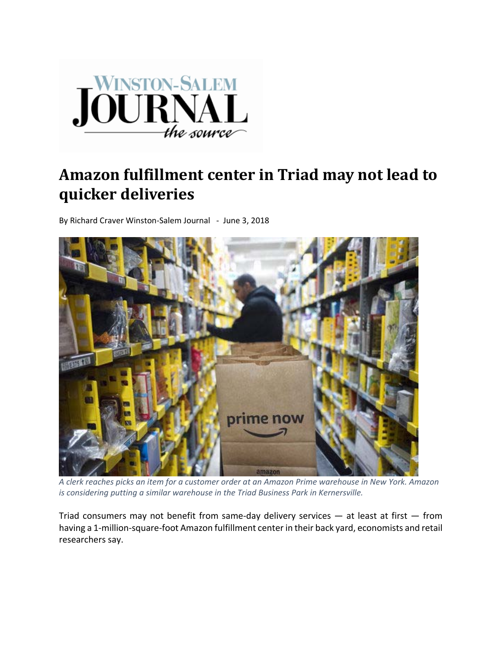

## **Amazon fulfillment center in Triad may not lead to quicker deliveries**

By Richard Craver Winston‐Salem Journal ‐ June 3, 2018



A clerk reaches picks an item for a customer order at an Amazon Prime warehouse in New York. Amazon *is considering putting a similar warehouse in the Triad Business Park in Kernersville.*

Triad consumers may not benefit from same-day delivery services  $-$  at least at first  $-$  from having a 1-million-square-foot Amazon fulfillment center in their back yard, economists and retail researchers say.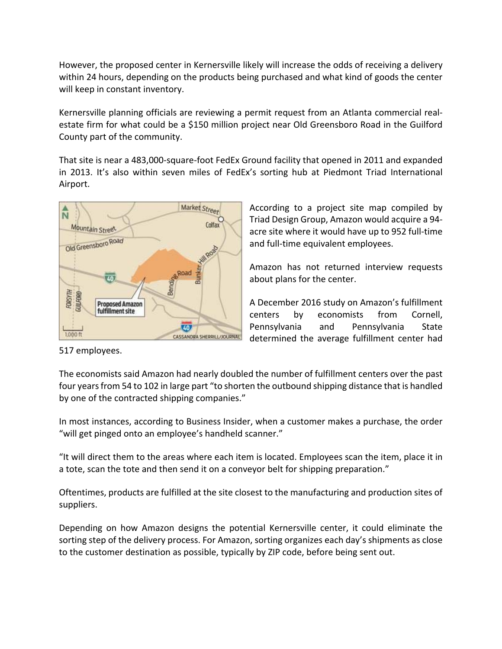However, the proposed center in Kernersville likely will increase the odds of receiving a delivery within 24 hours, depending on the products being purchased and what kind of goods the center will keep in constant inventory.

Kernersville planning officials are reviewing a permit request from an Atlanta commercial real‐ estate firm for what could be a \$150 million project near Old Greensboro Road in the Guilford County part of the community.

That site is near a 483,000‐square‐foot FedEx Ground facility that opened in 2011 and expanded in 2013. It's also within seven miles of FedEx's sorting hub at Piedmont Triad International Airport.



According to a project site map compiled by Triad Design Group, Amazon would acquire a 94‐ acre site where it would have up to 952 full‐time and full-time equivalent employees.

Amazon has not returned interview requests about plans for the center.

A December 2016 study on Amazon's fulfillment centers by economists from Cornell, Pennsylvania and Pennsylvania State determined the average fulfillment center had

517 employees.

The economists said Amazon had nearly doubled the number of fulfillment centers over the past four years from 54 to 102 in large part "to shorten the outbound shipping distance that is handled by one of the contracted shipping companies."

In most instances, according to Business Insider, when a customer makes a purchase, the order "will get pinged onto an employee's handheld scanner."

"It will direct them to the areas where each item is located. Employees scan the item, place it in a tote, scan the tote and then send it on a conveyor belt for shipping preparation."

Oftentimes, products are fulfilled at the site closest to the manufacturing and production sites of suppliers.

Depending on how Amazon designs the potential Kernersville center, it could eliminate the sorting step of the delivery process. For Amazon, sorting organizes each day's shipments as close to the customer destination as possible, typically by ZIP code, before being sent out.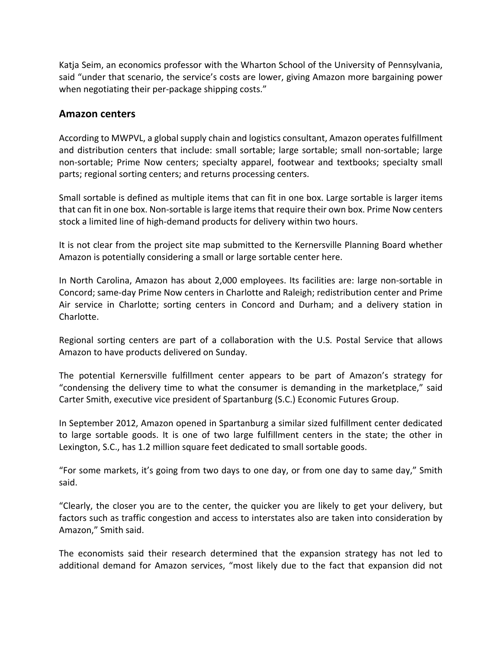Katja Seim, an economics professor with the Wharton School of the University of Pennsylvania, said "under that scenario, the service's costs are lower, giving Amazon more bargaining power when negotiating their per-package shipping costs."

## **Amazon centers**

According to MWPVL, a global supply chain and logistics consultant, Amazon operates fulfillment and distribution centers that include: small sortable; large sortable; small non‐sortable; large non‐sortable; Prime Now centers; specialty apparel, footwear and textbooks; specialty small parts; regional sorting centers; and returns processing centers.

Small sortable is defined as multiple items that can fit in one box. Large sortable is larger items that can fit in one box. Non‐sortable islarge itemsthat require their own box. Prime Now centers stock a limited line of high‐demand products for delivery within two hours.

It is not clear from the project site map submitted to the Kernersville Planning Board whether Amazon is potentially considering a small or large sortable center here.

In North Carolina, Amazon has about 2,000 employees. Its facilities are: large non‐sortable in Concord; same‐day Prime Now centers in Charlotte and Raleigh; redistribution center and Prime Air service in Charlotte; sorting centers in Concord and Durham; and a delivery station in Charlotte.

Regional sorting centers are part of a collaboration with the U.S. Postal Service that allows Amazon to have products delivered on Sunday.

The potential Kernersville fulfillment center appears to be part of Amazon's strategy for "condensing the delivery time to what the consumer is demanding in the marketplace," said Carter Smith, executive vice president of Spartanburg (S.C.) Economic Futures Group.

In September 2012, Amazon opened in Spartanburg a similar sized fulfillment center dedicated to large sortable goods. It is one of two large fulfillment centers in the state; the other in Lexington, S.C., has 1.2 million square feet dedicated to small sortable goods.

"For some markets, it's going from two days to one day, or from one day to same day," Smith said.

"Clearly, the closer you are to the center, the quicker you are likely to get your delivery, but factors such as traffic congestion and access to interstates also are taken into consideration by Amazon," Smith said.

The economists said their research determined that the expansion strategy has not led to additional demand for Amazon services, "most likely due to the fact that expansion did not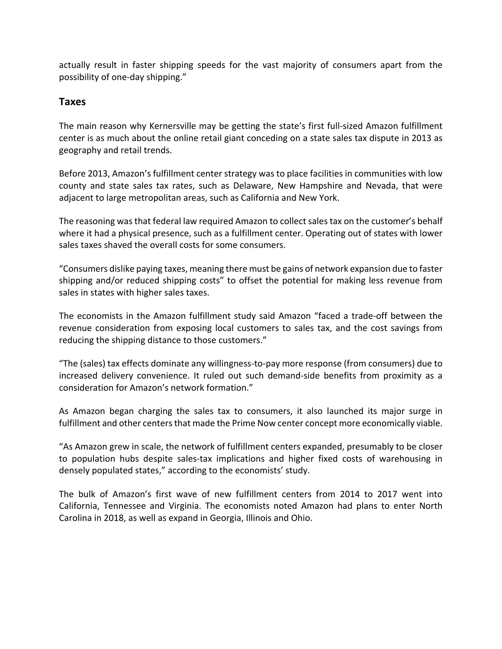actually result in faster shipping speeds for the vast majority of consumers apart from the possibility of one‐day shipping."

## **Taxes**

The main reason why Kernersville may be getting the state's first full‐sized Amazon fulfillment center is as much about the online retail giant conceding on a state sales tax dispute in 2013 as geography and retail trends.

Before 2013, Amazon's fulfillment center strategy was to place facilities in communities with low county and state sales tax rates, such as Delaware, New Hampshire and Nevada, that were adjacent to large metropolitan areas, such as California and New York.

The reasoning was that federal law required Amazon to collect sales tax on the customer's behalf where it had a physical presence, such as a fulfillment center. Operating out of states with lower sales taxes shaved the overall costs for some consumers.

"Consumers dislike paying taxes, meaning there must be gains of network expansion due to faster shipping and/or reduced shipping costs" to offset the potential for making less revenue from sales in states with higher sales taxes.

The economists in the Amazon fulfillment study said Amazon "faced a trade‐off between the revenue consideration from exposing local customers to sales tax, and the cost savings from reducing the shipping distance to those customers."

"The (sales) tax effects dominate any willingness‐to‐pay more response (from consumers) due to increased delivery convenience. It ruled out such demand‐side benefits from proximity as a consideration for Amazon's network formation."

As Amazon began charging the sales tax to consumers, it also launched its major surge in fulfillment and other centers that made the Prime Now center concept more economically viable.

"As Amazon grew in scale, the network of fulfillment centers expanded, presumably to be closer to population hubs despite sales‐tax implications and higher fixed costs of warehousing in densely populated states," according to the economists' study.

The bulk of Amazon's first wave of new fulfillment centers from 2014 to 2017 went into California, Tennessee and Virginia. The economists noted Amazon had plans to enter North Carolina in 2018, as well as expand in Georgia, Illinois and Ohio.